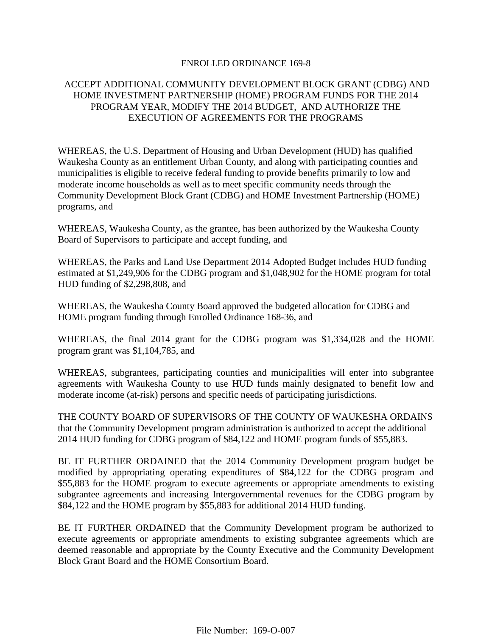#### ENROLLED ORDINANCE 169-8

# ACCEPT ADDITIONAL COMMUNITY DEVELOPMENT BLOCK GRANT (CDBG) AND HOME INVESTMENT PARTNERSHIP (HOME) PROGRAM FUNDS FOR THE 2014 PROGRAM YEAR, MODIFY THE 2014 BUDGET, AND AUTHORIZE THE EXECUTION OF AGREEMENTS FOR THE PROGRAMS

WHEREAS, the U.S. Department of Housing and Urban Development (HUD) has qualified Waukesha County as an entitlement Urban County, and along with participating counties and municipalities is eligible to receive federal funding to provide benefits primarily to low and moderate income households as well as to meet specific community needs through the Community Development Block Grant (CDBG) and HOME Investment Partnership (HOME) programs, and

WHEREAS, Waukesha County, as the grantee, has been authorized by the Waukesha County Board of Supervisors to participate and accept funding, and

WHEREAS, the Parks and Land Use Department 2014 Adopted Budget includes HUD funding estimated at \$1,249,906 for the CDBG program and \$1,048,902 for the HOME program for total HUD funding of \$2,298,808, and

WHEREAS, the Waukesha County Board approved the budgeted allocation for CDBG and HOME program funding through Enrolled Ordinance 168-36, and

WHEREAS, the final 2014 grant for the CDBG program was \$1,334,028 and the HOME program grant was \$1,104,785, and

WHEREAS, subgrantees, participating counties and municipalities will enter into subgrantee agreements with Waukesha County to use HUD funds mainly designated to benefit low and moderate income (at-risk) persons and specific needs of participating jurisdictions.

THE COUNTY BOARD OF SUPERVISORS OF THE COUNTY OF WAUKESHA ORDAINS that the Community Development program administration is authorized to accept the additional 2014 HUD funding for CDBG program of \$84,122 and HOME program funds of \$55,883.

BE IT FURTHER ORDAINED that the 2014 Community Development program budget be modified by appropriating operating expenditures of \$84,122 for the CDBG program and \$55,883 for the HOME program to execute agreements or appropriate amendments to existing subgrantee agreements and increasing Intergovernmental revenues for the CDBG program by \$84,122 and the HOME program by \$55,883 for additional 2014 HUD funding.

BE IT FURTHER ORDAINED that the Community Development program be authorized to execute agreements or appropriate amendments to existing subgrantee agreements which are deemed reasonable and appropriate by the County Executive and the Community Development Block Grant Board and the HOME Consortium Board.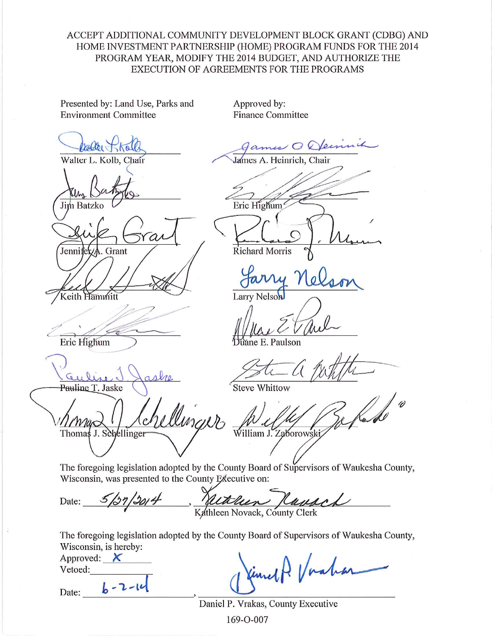# ACCEPT ADDITIONAL COMMUNITY DEVELOPMENT BLOCK GRANT (CDBG) AND HOME INVESTMENT PARTNERSHIP (HOME) PROGRAM FUNDS FOR THE 2014 PROGRAM YEAR, MODIFY THE 2014 BUDGET, AND AUTHORIZE THE EXECUTION OF AGREEMENTS FOR THE PROGRAMS

Presented by: Land Use, Parks and **Environment Committee** 

*rabber* 

Jim Batzko

Jennifek

Keith Hammit

Eric Highum

Pauline T. Jaske

Thomas J. Schellinger

Approved by: **Finance Committee** 

Walter L. Kolb, Chair

Grant

Games O Oleen<br>James A. Heinrich, Chair Eric Highum

**Richard Morris** 

Larry Nelson

áne E. Paulson

**Steve Whittow** 

linguo William J. Zaborowski

The foregoing legislation adopted by the County Board of Supervisors of Waukesha County, Wisconsin, was presented to the County Executive on:

Kathleen Kayach  $5/27/2014$ Date:

The foregoing legislation adopted by the County Board of Supervisors of Waukesha County, Wisconsin, is hereby:

Approved:  $\boldsymbol{\times}$ Vetoed:

 $b - 2 - 14$ 

Date:

fine P. Vach

Daniel P. Vrakas, County Executive

169-0-007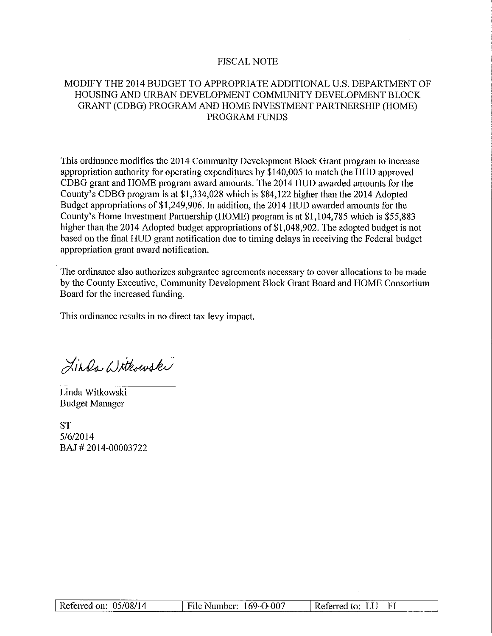# **FISCAL NOTE**

# MODIFY THE 2014 BUDGET TO APPROPRIATE ADDITIONAL U.S. DEPARTMENT OF HOUSING AND URBAN DEVELOPMENT COMMUNITY DEVELOPMENT BLOCK GRANT (CDBG) PROGRAM AND HOME INVESTMENT PARTNERSHIP (HOME) PROGRAM FUNDS

This ordinance modifies the 2014 Community Development Block Grant program to increase appropriation authority for operating expenditures by \$140,005 to match the HUD approved CDBG grant and HOME program award amounts. The 2014 HUD awarded amounts for the County's CDBG program is at \$1,334,028 which is \$84,122 higher than the 2014 Adopted Budget appropriations of \$1,249,906. In addition, the 2014 HUD awarded amounts for the County's Home Investment Partnership (HOME) program is at \$1,104,785 which is \$55,883 higher than the 2014 Adopted budget appropriations of \$1,048,902. The adopted budget is not based on the final HUD grant notification due to timing delays in receiving the Federal budget appropriation grant award notification.

The ordinance also authorizes subgrantee agreements necessary to cover allocations to be made by the County Executive, Community Development Block Grant Board and HOME Consortium Board for the increased funding.

This ordinance results in no direct tax levy impact.

Linda Withouski

Linda Witkowski **Budget Manager** 

**ST**  $5/6/2014$ BAJ#2014-00003722

| Referred on: $05/08/14$ | File Number: 169-O-007 | Referred to: $LU$ – FI |  |  |
|-------------------------|------------------------|------------------------|--|--|
|                         |                        |                        |  |  |